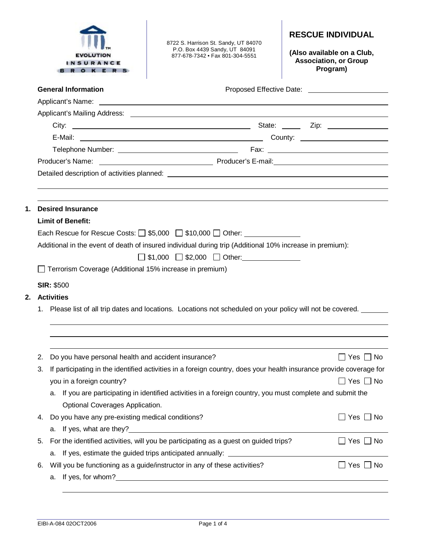|                                                                                                        |                                                                                                                              | <b>INSURANCE</b><br>O K E                                                                                      | 8722 S. Harrison St. Sandy, UT 84070<br>P.O. Box 4439 Sandy, UT 84091<br>877-678-7342 • Fax 801-304-5551                                                                                                                             | <b>RESCUE INDIVIDUAL</b><br>(Also available on a Club,<br><b>Association, or Group</b><br>Program) |  |  |
|--------------------------------------------------------------------------------------------------------|------------------------------------------------------------------------------------------------------------------------------|----------------------------------------------------------------------------------------------------------------|--------------------------------------------------------------------------------------------------------------------------------------------------------------------------------------------------------------------------------------|----------------------------------------------------------------------------------------------------|--|--|
|                                                                                                        |                                                                                                                              | <b>General Information</b>                                                                                     |                                                                                                                                                                                                                                      |                                                                                                    |  |  |
|                                                                                                        |                                                                                                                              |                                                                                                                |                                                                                                                                                                                                                                      |                                                                                                    |  |  |
|                                                                                                        |                                                                                                                              |                                                                                                                |                                                                                                                                                                                                                                      |                                                                                                    |  |  |
|                                                                                                        |                                                                                                                              |                                                                                                                |                                                                                                                                                                                                                                      |                                                                                                    |  |  |
|                                                                                                        |                                                                                                                              |                                                                                                                |                                                                                                                                                                                                                                      |                                                                                                    |  |  |
|                                                                                                        |                                                                                                                              |                                                                                                                |                                                                                                                                                                                                                                      |                                                                                                    |  |  |
|                                                                                                        |                                                                                                                              |                                                                                                                |                                                                                                                                                                                                                                      |                                                                                                    |  |  |
|                                                                                                        |                                                                                                                              |                                                                                                                |                                                                                                                                                                                                                                      |                                                                                                    |  |  |
|                                                                                                        |                                                                                                                              |                                                                                                                |                                                                                                                                                                                                                                      |                                                                                                    |  |  |
|                                                                                                        |                                                                                                                              |                                                                                                                |                                                                                                                                                                                                                                      |                                                                                                    |  |  |
| 1.                                                                                                     |                                                                                                                              | <b>Desired Insurance</b>                                                                                       |                                                                                                                                                                                                                                      |                                                                                                    |  |  |
| <b>Limit of Benefit:</b><br>Each Rescue for Rescue Costs: $\Box$ \$5,000 $\Box$ \$10,000 $\Box$ Other: |                                                                                                                              |                                                                                                                |                                                                                                                                                                                                                                      |                                                                                                    |  |  |
|                                                                                                        |                                                                                                                              |                                                                                                                |                                                                                                                                                                                                                                      |                                                                                                    |  |  |
|                                                                                                        |                                                                                                                              |                                                                                                                |                                                                                                                                                                                                                                      |                                                                                                    |  |  |
|                                                                                                        |                                                                                                                              |                                                                                                                |                                                                                                                                                                                                                                      |                                                                                                    |  |  |
|                                                                                                        |                                                                                                                              |                                                                                                                |                                                                                                                                                                                                                                      |                                                                                                    |  |  |
|                                                                                                        |                                                                                                                              |                                                                                                                |                                                                                                                                                                                                                                      |                                                                                                    |  |  |
|                                                                                                        | 2. Activities<br>1. Please list of all trip dates and locations. Locations not scheduled on your policy will not be covered. |                                                                                                                |                                                                                                                                                                                                                                      |                                                                                                    |  |  |
|                                                                                                        |                                                                                                                              |                                                                                                                |                                                                                                                                                                                                                                      |                                                                                                    |  |  |
|                                                                                                        |                                                                                                                              |                                                                                                                |                                                                                                                                                                                                                                      |                                                                                                    |  |  |
|                                                                                                        |                                                                                                                              |                                                                                                                |                                                                                                                                                                                                                                      |                                                                                                    |  |  |
|                                                                                                        |                                                                                                                              |                                                                                                                |                                                                                                                                                                                                                                      |                                                                                                    |  |  |
|                                                                                                        | 2.                                                                                                                           | Do you have personal health and accident insurance?                                                            |                                                                                                                                                                                                                                      | Yes $\Box$ No                                                                                      |  |  |
|                                                                                                        | 3.                                                                                                                           |                                                                                                                | If participating in the identified activities in a foreign country, does your health insurance provide coverage for                                                                                                                  |                                                                                                    |  |  |
|                                                                                                        |                                                                                                                              | you in a foreign country?                                                                                      |                                                                                                                                                                                                                                      | Yes $\Box$ No                                                                                      |  |  |
|                                                                                                        |                                                                                                                              | If you are participating in identified activities in a foreign country, you must complete and submit the<br>a. |                                                                                                                                                                                                                                      |                                                                                                    |  |  |
|                                                                                                        |                                                                                                                              | Optional Coverages Application.                                                                                |                                                                                                                                                                                                                                      |                                                                                                    |  |  |
|                                                                                                        | 4.                                                                                                                           | Do you have any pre-existing medical conditions?                                                               |                                                                                                                                                                                                                                      | $\Box$ Yes $\Box$ No                                                                               |  |  |
| а.                                                                                                     |                                                                                                                              |                                                                                                                |                                                                                                                                                                                                                                      |                                                                                                    |  |  |
|                                                                                                        | For the identified activities, will you be participating as a guest on guided trips?<br>$\Box$ Yes $\Box$ No<br>5.           |                                                                                                                |                                                                                                                                                                                                                                      |                                                                                                    |  |  |
|                                                                                                        | a. If yes, estimate the guided trips anticipated annually: _____________________                                             |                                                                                                                |                                                                                                                                                                                                                                      |                                                                                                    |  |  |
|                                                                                                        | 6.                                                                                                                           |                                                                                                                | Will you be functioning as a guide/instructor in any of these activities?                                                                                                                                                            | $\Box$ Yes $\Box$ No                                                                               |  |  |
|                                                                                                        |                                                                                                                              | а.                                                                                                             | If yes, for whom? <u>contact the control of the set of the set of the set of the set of the set of the set of the set of the set of the set of the set of the set of the set of the set of the set of the set of the set of the </u> |                                                                                                    |  |  |
|                                                                                                        |                                                                                                                              |                                                                                                                |                                                                                                                                                                                                                                      |                                                                                                    |  |  |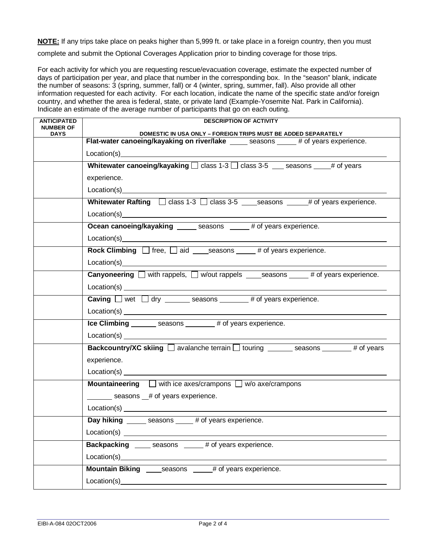**NOTE:** If any trips take place on peaks higher than 5,999 ft. or take place in a foreign country, then you must

complete and submit the Optional Coverages Application prior to binding coverage for those trips.

For each activity for which you are requesting rescue/evacuation coverage, estimate the expected number of days of participation per year, and place that number in the corresponding box. In the "season" blank, indicate the number of seasons: 3 (spring, summer, fall) or 4 (winter, spring, summer, fall). Also provide all other information requested for each activity. For each location, indicate the name of the specific state and/or foreign country, and whether the area is federal, state, or private land (Example-Yosemite Nat. Park in California). Indicate an estimate of the average number of participants that go on each outing.

| <b>ANTICIPATED</b>              | <b>DESCRIPTION OF ACTIVITY</b>                                                                                                                                                                                                 |  |  |
|---------------------------------|--------------------------------------------------------------------------------------------------------------------------------------------------------------------------------------------------------------------------------|--|--|
| <b>NUMBER OF</b><br><b>DAYS</b> | DOMESTIC IN USA ONLY - FOREIGN TRIPS MUST BE ADDED SEPARATELY                                                                                                                                                                  |  |  |
|                                 | Flat-water canoeing/kayaking on river/lake _____ seasons ____ # of years experience.                                                                                                                                           |  |  |
|                                 | Location(s) example and the set of the set of the set of the set of the set of the set of the set of the set of the set of the set of the set of the set of the set of the set of the set of the set of the set of the set of  |  |  |
|                                 | Whitewater canoeing/kayaking $\Box$ class 1-3 $\Box$ class 3-5 seasons # of years                                                                                                                                              |  |  |
|                                 | experience.                                                                                                                                                                                                                    |  |  |
|                                 | Location(s) Location Services and Services and Services and Services and Services and Services and Services and Services and Services and Services and Services and Services and Services and Services and Services and Servic |  |  |
|                                 | Whitewater Rafting $\Box$ class 1-3 $\Box$ class 3-5 seasons $\Box$ # of years experience.                                                                                                                                     |  |  |
|                                 |                                                                                                                                                                                                                                |  |  |
|                                 | Ocean canoeing/kayaking ______ seasons _____ # of years experience.                                                                                                                                                            |  |  |
|                                 |                                                                                                                                                                                                                                |  |  |
|                                 | <b>Rock Climbing</b> $\Box$ free, $\Box$ aid seasons $\Box$ # of years experience.                                                                                                                                             |  |  |
|                                 | Location(s) example and the set of the set of the set of the set of the set of the set of the set of the set of the set of the set of the set of the set of the set of the set of the set of the set of the set of the set of  |  |  |
|                                 | <b>Canyoneering</b> $\Box$ with rappels, $\Box$ w/out rappels _____ seasons ______ # of years experience.                                                                                                                      |  |  |
|                                 | $Location(s)$ $\qquad \qquad$                                                                                                                                                                                                  |  |  |
|                                 | <b>Caving</b> $\Box$ wet $\Box$ dry ________ seasons ________ # of years experience.                                                                                                                                           |  |  |
|                                 |                                                                                                                                                                                                                                |  |  |
|                                 | Ice Climbing ________ seasons ________ # of years experience.                                                                                                                                                                  |  |  |
|                                 | Location(s) Location(s)                                                                                                                                                                                                        |  |  |
|                                 | <b>Backcountry/XC skiing</b> $\Box$ avalanche terrain $\Box$ touring $\Box$ seasons $\Box$ # of years                                                                                                                          |  |  |
|                                 | experience.                                                                                                                                                                                                                    |  |  |
|                                 |                                                                                                                                                                                                                                |  |  |
|                                 | <b>Mountaineering</b> $\Box$ with ice axes/crampons $\Box$ w/o axe/crampons                                                                                                                                                    |  |  |
|                                 | seasons # of years experience.                                                                                                                                                                                                 |  |  |
|                                 | Location(s) expression and the set of the set of the set of the set of the set of the set of the set of the set of the set of the set of the set of the set of the set of the set of the set of the set of the set of the set  |  |  |
|                                 | Day hiking _______ seasons _____ # of years experience.                                                                                                                                                                        |  |  |
|                                 | Location(s) $_{-}$                                                                                                                                                                                                             |  |  |
|                                 | <b>Backpacking</b> seasons # of years experience.                                                                                                                                                                              |  |  |
|                                 | Location(s) expression and the set of the set of the set of the set of the set of the set of the set of the set of the set of the set of the set of the set of the set of the set of the set of the set of the set of the set  |  |  |
|                                 | <b>Mountain Biking</b> seasons # of years experience.                                                                                                                                                                          |  |  |
|                                 | Location(s)_                                                                                                                                                                                                                   |  |  |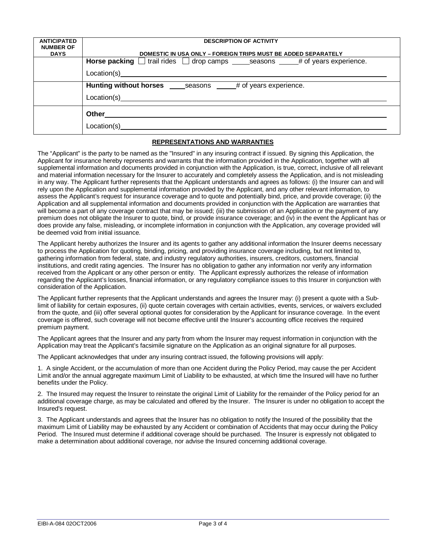| <b>DESCRIPTION OF ACTIVITY</b>                                                                                                                                                                                                                      |  |  |
|-----------------------------------------------------------------------------------------------------------------------------------------------------------------------------------------------------------------------------------------------------|--|--|
| DOMESTIC IN USA ONLY - FOREIGN TRIPS MUST BE ADDED SEPARATELY                                                                                                                                                                                       |  |  |
| <b>Horse packing</b> $\Box$ trail rides $\Box$ drop camps _______ seasons _______# of years experience.                                                                                                                                             |  |  |
|                                                                                                                                                                                                                                                     |  |  |
| Location(s) Location(s)                                                                                                                                                                                                                             |  |  |
|                                                                                                                                                                                                                                                     |  |  |
| Hunting without horses seasons # of years experience.                                                                                                                                                                                               |  |  |
| Location(s)<br><u>a sa mga barangan ng mga barangan ng mga barangan ng mga barangan ng mga barangang ng mga barangang ng mga barangang ng mga barangang ng mga barangang ng mga barangang ng mga barangang ng mga barangang ng mga barangang ng</u> |  |  |
|                                                                                                                                                                                                                                                     |  |  |
| Other the contract of the contract of the contract of the contract of the contract of the contract of the contract of the contract of the contract of the contract of the contract of the contract of the contract of the cont                      |  |  |
| Location(s)<br><u> 1980 - Jan Stein Stein Stein Stein Stein Stein Stein Stein Stein Stein Stein Stein Stein Stein Stein Stein S</u>                                                                                                                 |  |  |
|                                                                                                                                                                                                                                                     |  |  |

## **REPRESENTATIONS AND WARRANTIES**

The "Applicant" is the party to be named as the "Insured" in any insuring contract if issued. By signing this Application, the Applicant for insurance hereby represents and warrants that the information provided in the Application, together with all supplemental information and documents provided in conjunction with the Application, is true, correct, inclusive of all relevant and material information necessary for the Insurer to accurately and completely assess the Application, and is not misleading in any way. The Applicant further represents that the Applicant understands and agrees as follows: (i) the Insurer can and will rely upon the Application and supplemental information provided by the Applicant, and any other relevant information, to assess the Applicant's request for insurance coverage and to quote and potentially bind, price, and provide coverage; (ii) the Application and all supplemental information and documents provided in conjunction with the Application are warranties that will become a part of any coverage contract that may be issued; (iii) the submission of an Application or the payment of any premium does not obligate the Insurer to quote, bind, or provide insurance coverage; and (iv) in the event the Applicant has or does provide any false, misleading, or incomplete information in conjunction with the Application, any coverage provided will be deemed void from initial issuance.

The Applicant hereby authorizes the Insurer and its agents to gather any additional information the Insurer deems necessary to process the Application for quoting, binding, pricing, and providing insurance coverage including, but not limited to, gathering information from federal, state, and industry regulatory authorities, insurers, creditors, customers, financial institutions, and credit rating agencies. The Insurer has no obligation to gather any information nor verify any information received from the Applicant or any other person or entity. The Applicant expressly authorizes the release of information regarding the Applicant's losses, financial information, or any regulatory compliance issues to this Insurer in conjunction with consideration of the Application.

The Applicant further represents that the Applicant understands and agrees the Insurer may: (i) present a quote with a Sublimit of liability for certain exposures, (ii) quote certain coverages with certain activities, events, services, or waivers excluded from the quote, and (iii) offer several optional quotes for consideration by the Applicant for insurance coverage. In the event coverage is offered, such coverage will not become effective until the Insurer's accounting office receives the required premium payment.

The Applicant agrees that the Insurer and any party from whom the Insurer may request information in conjunction with the Application may treat the Applicant's facsimile signature on the Application as an original signature for all purposes.

The Applicant acknowledges that under any insuring contract issued, the following provisions will apply:

1. A single Accident, or the accumulation of more than one Accident during the Policy Period, may cause the per Accident Limit and/or the annual aggregate maximum Limit of Liability to be exhausted, at which time the Insured will have no further benefits under the Policy.

2. The Insured may request the Insurer to reinstate the original Limit of Liability for the remainder of the Policy period for an additional coverage charge, as may be calculated and offered by the Insurer. The Insurer is under no obligation to accept the Insured's request.

3. The Applicant understands and agrees that the Insurer has no obligation to notify the Insured of the possibility that the maximum Limit of Liability may be exhausted by any Accident or combination of Accidents that may occur during the Policy Period. The Insured must determine if additional coverage should be purchased. The Insurer is expressly not obligated to make a determination about additional coverage, nor advise the Insured concerning additional coverage.